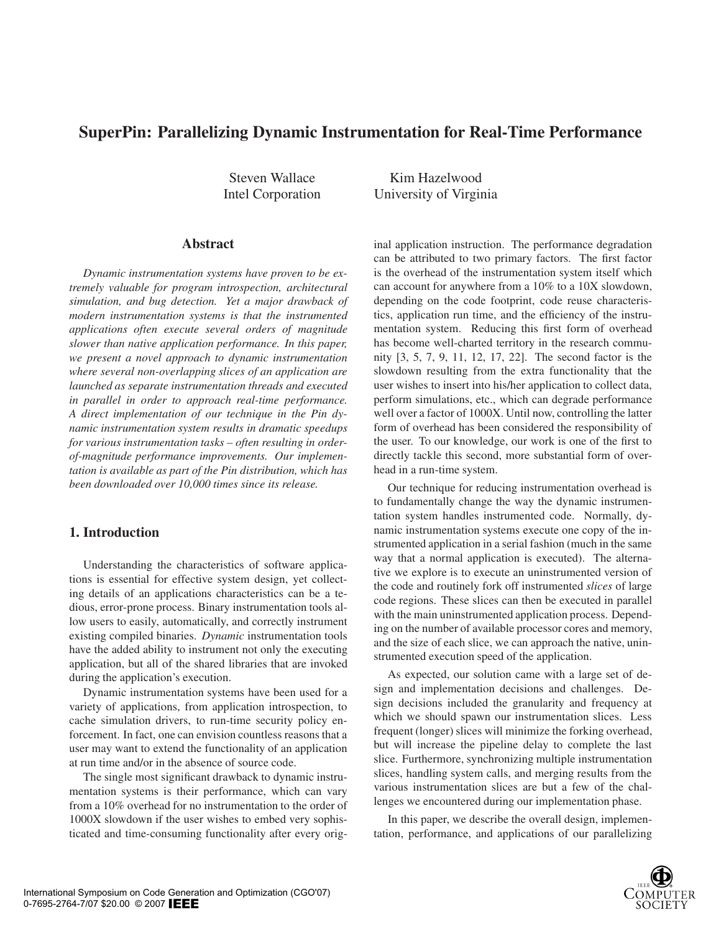# **SuperPin: Parallelizing Dynamic Instrumentation for Real-Time Performance**

Steven Wallace Intel Corporation

#### **Abstract**

*Dynamic instrumentation systems have proven to be extremely valuable for program introspection, architectural simulation, and bug detection. Yet a major drawback of modern instrumentation systems is that the instrumented applications often execute several orders of magnitude slower than native application performance. In this paper, we present a novel approach to dynamic instrumentation where several non-overlapping slices of an application are launched as separate instrumentation threads and executed in parallel in order to approach real-time performance. A direct implementation of our technique in the Pin dynamic instrumentation system results in dramatic speedups for various instrumentation tasks – often resulting in orderof-magnitude performance improvements. Our implementation is available as part of the Pin distribution, which has been downloaded over 10,000 times since its release.*

### **1. Introduction**

Understanding the characteristics of software applications is essential for effective system design, yet collecting details of an applications characteristics can be a tedious, error-prone process. Binary instrumentation tools allow users to easily, automatically, and correctly instrument existing compiled binaries. *Dynamic* instrumentation tools have the added ability to instrument not only the executing application, but all of the shared libraries that are invoked during the application's execution.

Dynamic instrumentation systems have been used for a variety of applications, from application introspection, to cache simulation drivers, to run-time security policy enforcement. In fact, one can envision countless reasons that a user may want to extend the functionality of an application at run time and/or in the absence of source code.

The single most significant drawback to dynamic instrumentation systems is their performance, which can vary from a 10% overhead for no instrumentation to the order of 1000X slowdown if the user wishes to embed very sophisticated and time-consuming functionality after every orig-

Kim Hazelwood University of Virginia

inal application instruction. The performance degradation can be attributed to two primary factors. The first factor is the overhead of the instrumentation system itself which can account for anywhere from a 10% to a 10X slowdown, depending on the code footprint, code reuse characteristics, application run time, and the efficiency of the instrumentation system. Reducing this first form of overhead has become well-charted territory in the research community [3, 5, 7, 9, 11, 12, 17, 22]. The second factor is the slowdown resulting from the extra functionality that the user wishes to insert into his/her application to collect data, perform simulations, etc., which can degrade performance well over a factor of 1000X. Until now, controlling the latter form of overhead has been considered the responsibility of the user. To our knowledge, our work is one of the first to directly tackle this second, more substantial form of overhead in a run-time system.

Our technique for reducing instrumentation overhead is to fundamentally change the way the dynamic instrumentation system handles instrumented code. Normally, dynamic instrumentation systems execute one copy of the instrumented application in a serial fashion (much in the same way that a normal application is executed). The alternative we explore is to execute an uninstrumented version of the code and routinely fork off instrumented *slices* of large code regions. These slices can then be executed in parallel with the main uninstrumented application process. Depending on the number of available processor cores and memory, and the size of each slice, we can approach the native, uninstrumented execution speed of the application.

As expected, our solution came with a large set of design and implementation decisions and challenges. Design decisions included the granularity and frequency at which we should spawn our instrumentation slices. Less frequent (longer) slices will minimize the forking overhead, but will increase the pipeline delay to complete the last slice. Furthermore, synchronizing multiple instrumentation slices, handling system calls, and merging results from the various instrumentation slices are but a few of the challenges we encountered during our implementation phase.

In this paper, we describe the overall design, implementation, performance, and applications of our parallelizing

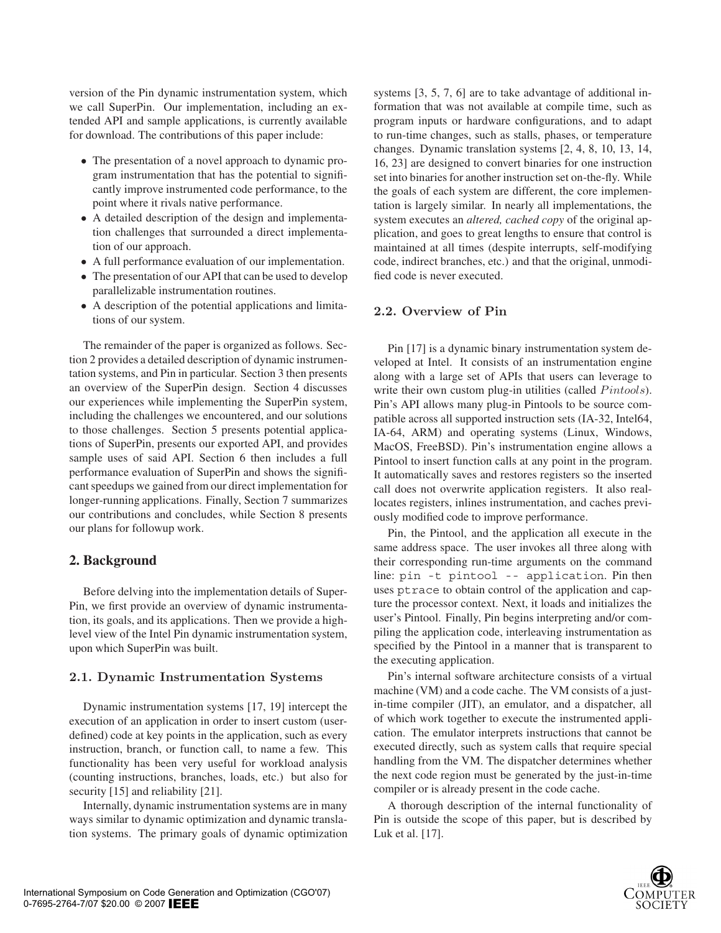version of the Pin dynamic instrumentation system, which we call SuperPin. Our implementation, including an extended API and sample applications, is currently available for download. The contributions of this paper include:

- The presentation of a novel approach to dynamic program instrumentation that has the potential to significantly improve instrumented code performance, to the point where it rivals native performance.
- A detailed description of the design and implementation challenges that surrounded a direct implementation of our approach.
- A full performance evaluation of our implementation.
- The presentation of our API that can be used to develop parallelizable instrumentation routines.
- A description of the potential applications and limitations of our system.

The remainder of the paper is organized as follows. Section 2 provides a detailed description of dynamic instrumentation systems, and Pin in particular. Section 3 then presents an overview of the SuperPin design. Section 4 discusses our experiences while implementing the SuperPin system, including the challenges we encountered, and our solutions to those challenges. Section 5 presents potential applications of SuperPin, presents our exported API, and provides sample uses of said API. Section 6 then includes a full performance evaluation of SuperPin and shows the significant speedups we gained from our direct implementation for longer-running applications. Finally, Section 7 summarizes our contributions and concludes, while Section 8 presents our plans for followup work.

## **2. Background**

Before delving into the implementation details of Super-Pin, we first provide an overview of dynamic instrumentation, its goals, and its applications. Then we provide a highlevel view of the Intel Pin dynamic instrumentation system, upon which SuperPin was built.

## **2.1. Dynamic Instrumentation Systems**

Dynamic instrumentation systems [17, 19] intercept the execution of an application in order to insert custom (userdefined) code at key points in the application, such as every instruction, branch, or function call, to name a few. This functionality has been very useful for workload analysis (counting instructions, branches, loads, etc.) but also for security [15] and reliability [21].

Internally, dynamic instrumentation systems are in many ways similar to dynamic optimization and dynamic translation systems. The primary goals of dynamic optimization systems [3, 5, 7, 6] are to take advantage of additional information that was not available at compile time, such as program inputs or hardware configurations, and to adapt to run-time changes, such as stalls, phases, or temperature changes. Dynamic translation systems [2, 4, 8, 10, 13, 14, 16, 23] are designed to convert binaries for one instruction set into binaries for another instruction set on-the-fly. While the goals of each system are different, the core implementation is largely similar. In nearly all implementations, the system executes an *altered, cached copy* of the original application, and goes to great lengths to ensure that control is maintained at all times (despite interrupts, self-modifying code, indirect branches, etc.) and that the original, unmodified code is never executed.

## **2.2. Overview of Pin**

Pin [17] is a dynamic binary instrumentation system developed at Intel. It consists of an instrumentation engine along with a large set of APIs that users can leverage to write their own custom plug-in utilities (called *Pintools*). Pin's API allows many plug-in Pintools to be source compatible across all supported instruction sets (IA-32, Intel64, IA-64, ARM) and operating systems (Linux, Windows, MacOS, FreeBSD). Pin's instrumentation engine allows a Pintool to insert function calls at any point in the program. It automatically saves and restores registers so the inserted call does not overwrite application registers. It also reallocates registers, inlines instrumentation, and caches previously modified code to improve performance.

Pin, the Pintool, and the application all execute in the same address space. The user invokes all three along with their corresponding run-time arguments on the command line: pin -t pintool -- application. Pin then uses ptrace to obtain control of the application and capture the processor context. Next, it loads and initializes the user's Pintool. Finally, Pin begins interpreting and/or compiling the application code, interleaving instrumentation as specified by the Pintool in a manner that is transparent to the executing application.

Pin's internal software architecture consists of a virtual machine (VM) and a code cache. The VM consists of a justin-time compiler (JIT), an emulator, and a dispatcher, all of which work together to execute the instrumented application. The emulator interprets instructions that cannot be executed directly, such as system calls that require special handling from the VM. The dispatcher determines whether the next code region must be generated by the just-in-time compiler or is already present in the code cache.

A thorough description of the internal functionality of Pin is outside the scope of this paper, but is described by Luk et al. [17].

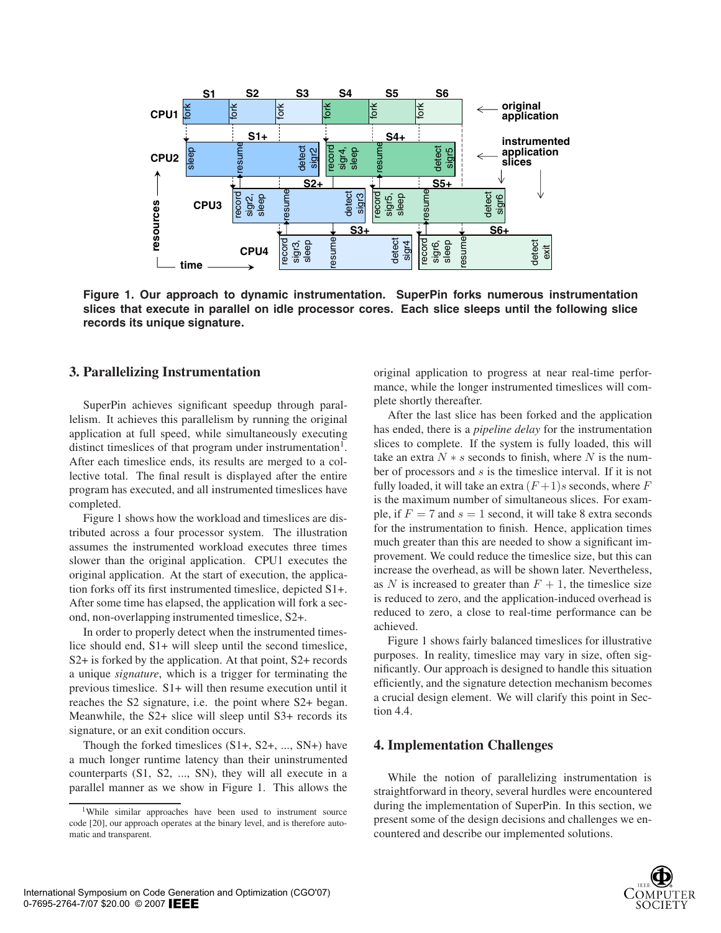

**Figure 1. Our approach to dynamic instrumentation. SuperPin forks numerous instrumentation slices that execute in parallel on idle processor cores. Each slice sleeps until the following slice records its unique signature.**

### **3. Parallelizing Instrumentation**

SuperPin achieves significant speedup through parallelism. It achieves this parallelism by running the original application at full speed, while simultaneously executing distinct timeslices of that program under instrumentation<sup>1</sup>. After each timeslice ends, its results are merged to a collective total. The final result is displayed after the entire program has executed, and all instrumented timeslices have completed.

Figure 1 shows how the workload and timeslices are distributed across a four processor system. The illustration assumes the instrumented workload executes three times slower than the original application. CPU1 executes the original application. At the start of execution, the application forks off its first instrumented timeslice, depicted S1+. After some time has elapsed, the application will fork a second, non-overlapping instrumented timeslice, S2+.

In order to properly detect when the instrumented timeslice should end, S1+ will sleep until the second timeslice, S2+ is forked by the application. At that point, S2+ records a unique *signature*, which is a trigger for terminating the previous timeslice. S1+ will then resume execution until it reaches the S2 signature, i.e. the point where S2+ began. Meanwhile, the S2+ slice will sleep until S3+ records its signature, or an exit condition occurs.

Though the forked timeslices  $(S1+, S2+, ..., SN+)$  have a much longer runtime latency than their uninstrumented counterparts (S1, S2, ..., SN), they will all execute in a parallel manner as we show in Figure 1. This allows the original application to progress at near real-time performance, while the longer instrumented timeslices will complete shortly thereafter.

After the last slice has been forked and the application has ended, there is a *pipeline delay* for the instrumentation slices to complete. If the system is fully loaded, this will take an extra  $N * s$  seconds to finish, where  $N$  is the number of processors and *s* is the timeslice interval. If it is not fully loaded, it will take an extra  $(F+1)s$  seconds, where *F* is the maximum number of simultaneous slices. For example, if  $F = 7$  and  $s = 1$  second, it will take 8 extra seconds for the instrumentation to finish. Hence, application times much greater than this are needed to show a significant improvement. We could reduce the timeslice size, but this can increase the overhead, as will be shown later. Nevertheless, as N is increased to greater than  $F + 1$ , the timeslice size is reduced to zero, and the application-induced overhead is reduced to zero, a close to real-time performance can be achieved.

Figure 1 shows fairly balanced timeslices for illustrative purposes. In reality, timeslice may vary in size, often significantly. Our approach is designed to handle this situation efficiently, and the signature detection mechanism becomes a crucial design element. We will clarify this point in Section 4.4.

### **4. Implementation Challenges**

While the notion of parallelizing instrumentation is straightforward in theory, several hurdles were encountered during the implementation of SuperPin. In this section, we present some of the design decisions and challenges we encountered and describe our implemented solutions.

<sup>&</sup>lt;sup>1</sup>While similar approaches have been used to instrument source code [20], our approach operates at the binary level, and is therefore automatic and transparent.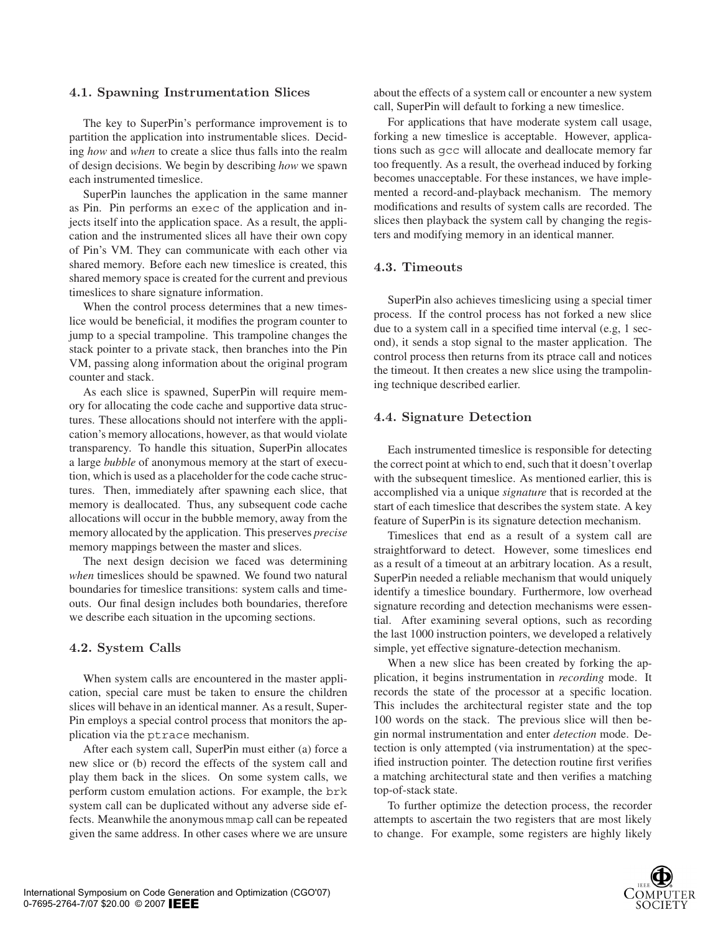### **4.1. Spawning Instrumentation Slices**

The key to SuperPin's performance improvement is to partition the application into instrumentable slices. Deciding *how* and *when* to create a slice thus falls into the realm of design decisions. We begin by describing *how* we spawn each instrumented timeslice.

SuperPin launches the application in the same manner as Pin. Pin performs an exec of the application and injects itself into the application space. As a result, the application and the instrumented slices all have their own copy of Pin's VM. They can communicate with each other via shared memory. Before each new timeslice is created, this shared memory space is created for the current and previous timeslices to share signature information.

When the control process determines that a new timeslice would be beneficial, it modifies the program counter to jump to a special trampoline. This trampoline changes the stack pointer to a private stack, then branches into the Pin VM, passing along information about the original program counter and stack.

As each slice is spawned, SuperPin will require memory for allocating the code cache and supportive data structures. These allocations should not interfere with the application's memory allocations, however, as that would violate transparency. To handle this situation, SuperPin allocates a large *bubble* of anonymous memory at the start of execution, which is used as a placeholder for the code cache structures. Then, immediately after spawning each slice, that memory is deallocated. Thus, any subsequent code cache allocations will occur in the bubble memory, away from the memory allocated by the application. This preserves *precise* memory mappings between the master and slices.

The next design decision we faced was determining *when* timeslices should be spawned. We found two natural boundaries for timeslice transitions: system calls and timeouts. Our final design includes both boundaries, therefore we describe each situation in the upcoming sections.

### **4.2. System Calls**

When system calls are encountered in the master application, special care must be taken to ensure the children slices will behave in an identical manner. As a result, Super-Pin employs a special control process that monitors the application via the ptrace mechanism.

After each system call, SuperPin must either (a) force a new slice or (b) record the effects of the system call and play them back in the slices. On some system calls, we perform custom emulation actions. For example, the brk system call can be duplicated without any adverse side effects. Meanwhile the anonymous mmap call can be repeated given the same address. In other cases where we are unsure about the effects of a system call or encounter a new system call, SuperPin will default to forking a new timeslice.

For applications that have moderate system call usage, forking a new timeslice is acceptable. However, applications such as gcc will allocate and deallocate memory far too frequently. As a result, the overhead induced by forking becomes unacceptable. For these instances, we have implemented a record-and-playback mechanism. The memory modifications and results of system calls are recorded. The slices then playback the system call by changing the registers and modifying memory in an identical manner.

### **4.3. Timeouts**

SuperPin also achieves timeslicing using a special timer process. If the control process has not forked a new slice due to a system call in a specified time interval (e.g, 1 second), it sends a stop signal to the master application. The control process then returns from its ptrace call and notices the timeout. It then creates a new slice using the trampolining technique described earlier.

#### **4.4. Signature Detection**

Each instrumented timeslice is responsible for detecting the correct point at which to end, such that it doesn't overlap with the subsequent timeslice. As mentioned earlier, this is accomplished via a unique *signature* that is recorded at the start of each timeslice that describes the system state. A key feature of SuperPin is its signature detection mechanism.

Timeslices that end as a result of a system call are straightforward to detect. However, some timeslices end as a result of a timeout at an arbitrary location. As a result, SuperPin needed a reliable mechanism that would uniquely identify a timeslice boundary. Furthermore, low overhead signature recording and detection mechanisms were essential. After examining several options, such as recording the last 1000 instruction pointers, we developed a relatively simple, yet effective signature-detection mechanism.

When a new slice has been created by forking the application, it begins instrumentation in *recording* mode. It records the state of the processor at a specific location. This includes the architectural register state and the top 100 words on the stack. The previous slice will then begin normal instrumentation and enter *detection* mode. Detection is only attempted (via instrumentation) at the specified instruction pointer. The detection routine first verifies a matching architectural state and then verifies a matching top-of-stack state.

To further optimize the detection process, the recorder attempts to ascertain the two registers that are most likely to change. For example, some registers are highly likely

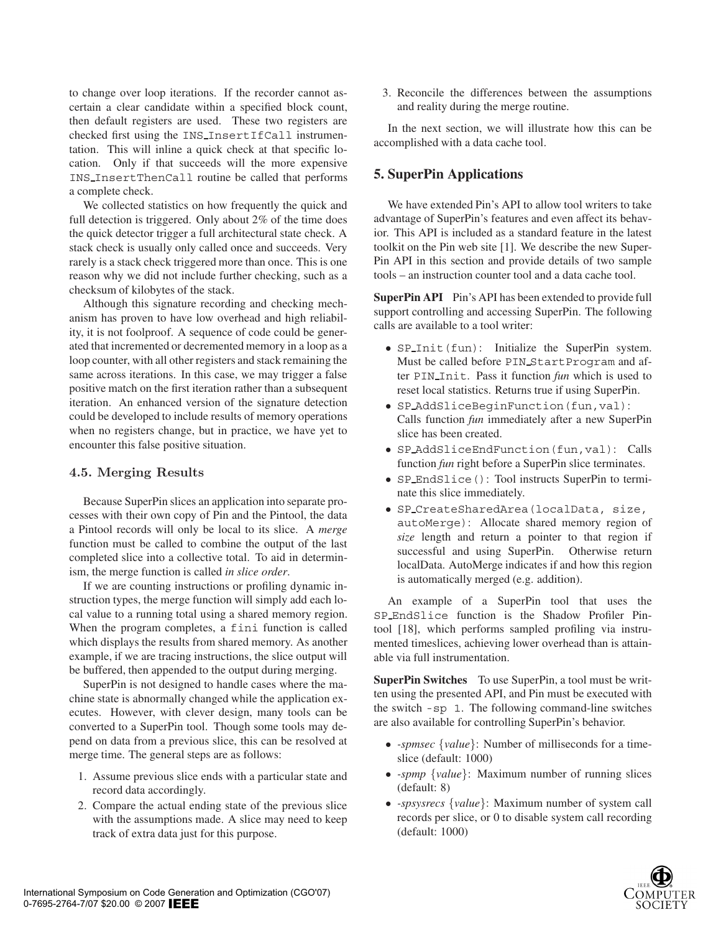to change over loop iterations. If the recorder cannot ascertain a clear candidate within a specified block count, then default registers are used. These two registers are checked first using the INS InsertIfCall instrumentation. This will inline a quick check at that specific location. Only if that succeeds will the more expensive INS InsertThenCall routine be called that performs a complete check.

We collected statistics on how frequently the quick and full detection is triggered. Only about 2% of the time does the quick detector trigger a full architectural state check. A stack check is usually only called once and succeeds. Very rarely is a stack check triggered more than once. This is one reason why we did not include further checking, such as a checksum of kilobytes of the stack.

Although this signature recording and checking mechanism has proven to have low overhead and high reliability, it is not foolproof. A sequence of code could be generated that incremented or decremented memory in a loop as a loop counter, with all other registers and stack remaining the same across iterations. In this case, we may trigger a false positive match on the first iteration rather than a subsequent iteration. An enhanced version of the signature detection could be developed to include results of memory operations when no registers change, but in practice, we have yet to encounter this false positive situation.

### **4.5. Merging Results**

Because SuperPin slices an application into separate processes with their own copy of Pin and the Pintool, the data a Pintool records will only be local to its slice. A *merge* function must be called to combine the output of the last completed slice into a collective total. To aid in determinism, the merge function is called *in slice order*.

If we are counting instructions or profiling dynamic instruction types, the merge function will simply add each local value to a running total using a shared memory region. When the program completes, a fini function is called which displays the results from shared memory. As another example, if we are tracing instructions, the slice output will be buffered, then appended to the output during merging.

SuperPin is not designed to handle cases where the machine state is abnormally changed while the application executes. However, with clever design, many tools can be converted to a SuperPin tool. Though some tools may depend on data from a previous slice, this can be resolved at merge time. The general steps are as follows:

- 1. Assume previous slice ends with a particular state and record data accordingly.
- 2. Compare the actual ending state of the previous slice with the assumptions made. A slice may need to keep track of extra data just for this purpose.

3. Reconcile the differences between the assumptions and reality during the merge routine.

In the next section, we will illustrate how this can be accomplished with a data cache tool.

## **5. SuperPin Applications**

We have extended Pin's API to allow tool writers to take advantage of SuperPin's features and even affect its behavior. This API is included as a standard feature in the latest toolkit on the Pin web site [1]. We describe the new Super-Pin API in this section and provide details of two sample tools – an instruction counter tool and a data cache tool.

**SuperPin API** Pin's API has been extended to provide full support controlling and accessing SuperPin. The following calls are available to a tool writer:

- SP Init(fun): Initialize the SuperPin system. Must be called before PIN StartProgram and after PIN Init. Pass it function *fun* which is used to reset local statistics. Returns true if using SuperPin.
- SP AddSliceBeginFunction(fun,val): Calls function *fun* immediately after a new SuperPin slice has been created.
- SP AddSliceEndFunction(fun,val): Calls function *fun* right before a SuperPin slice terminates.
- SP EndSlice(): Tool instructs SuperPin to terminate this slice immediately.
- SP CreateSharedArea(localData, size, autoMerge): Allocate shared memory region of *size* length and return a pointer to that region if successful and using SuperPin. Otherwise return localData. AutoMerge indicates if and how this region is automatically merged (e.g. addition).

An example of a SuperPin tool that uses the SP EndSlice function is the Shadow Profiler Pintool [18], which performs sampled profiling via instrumented timeslices, achieving lower overhead than is attainable via full instrumentation.

**SuperPin Switches** To use SuperPin, a tool must be written using the presented API, and Pin must be executed with the switch -sp 1. The following command-line switches are also available for controlling SuperPin's behavior.

- *-spmsec* {*value*}: Number of milliseconds for a timeslice (default: 1000)
- *-spmp* {*value*}: Maximum number of running slices (default: 8)
- *-spsysrecs* {*value*}: Maximum number of system call records per slice, or 0 to disable system call recording (default: 1000)

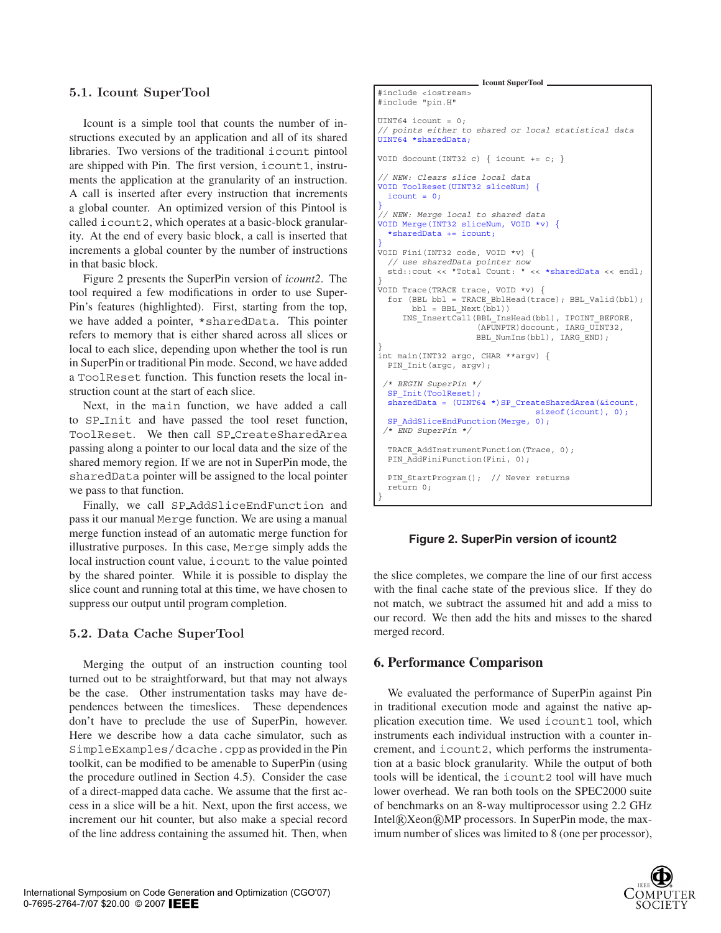### **5.1. Icount SuperTool**

Icount is a simple tool that counts the number of instructions executed by an application and all of its shared libraries. Two versions of the traditional icount pintool are shipped with Pin. The first version, icount1, instruments the application at the granularity of an instruction. A call is inserted after every instruction that increments a global counter. An optimized version of this Pintool is called icount2, which operates at a basic-block granularity. At the end of every basic block, a call is inserted that increments a global counter by the number of instructions in that basic block.

Figure 2 presents the SuperPin version of *icount2*. The tool required a few modifications in order to use Super-Pin's features (highlighted). First, starting from the top, we have added a pointer, \*sharedData. This pointer refers to memory that is either shared across all slices or local to each slice, depending upon whether the tool is run in SuperPin or traditional Pin mode. Second, we have added a ToolReset function. This function resets the local instruction count at the start of each slice.

Next, in the main function, we have added a call to SP Init and have passed the tool reset function, ToolReset. We then call SP CreateSharedArea passing along a pointer to our local data and the size of the shared memory region. If we are not in SuperPin mode, the sharedData pointer will be assigned to the local pointer we pass to that function.

Finally, we call SP AddSliceEndFunction and pass it our manual Merge function. We are using a manual merge function instead of an automatic merge function for illustrative purposes. In this case, Merge simply adds the local instruction count value, icount to the value pointed by the shared pointer. While it is possible to display the slice count and running total at this time, we have chosen to suppress our output until program completion.

### **5.2. Data Cache SuperTool**

Merging the output of an instruction counting tool turned out to be straightforward, but that may not always be the case. Other instrumentation tasks may have dependences between the timeslices. These dependences don't have to preclude the use of SuperPin, however. Here we describe how a data cache simulator, such as SimpleExamples/dcache.cppas provided in the Pin toolkit, can be modified to be amenable to SuperPin (using the procedure outlined in Section 4.5). Consider the case of a direct-mapped data cache. We assume that the first access in a slice will be a hit. Next, upon the first access, we increment our hit counter, but also make a special record of the line address containing the assumed hit. Then, when

#### **Icount SuperTool** #include <iostream> #include "pin.H" UINT64 icount = 0; // points either to shared or local statistical data UINT64 \*sharedData; VOID docount(INT32 c) *{* icount += c; *}* // NEW: Clears slice local data VOID ToolReset(UINT32 sliceNum) *{*  $i$ count =  $0$ ; *}* // NEW: Merge local to shared data VOID Merge(INT32 sliceNum, VOID \*v) *{* \*sharedData += icount; *}* VOID Fini(INT32 code, VOID \*v) *{* // use sharedData pointer now std::cout << "Total Count: " << \*sharedData << endl; *}* VOID Trace(TRACE trace, VOID \*v) *{* for (BBL bbl = TRACE\_BblHead(trace); BBL\_Valid(bbl);  $bb1 = BBL$  Next( $\overline{bb1})$ ) INS\_InsertCall(BBL\_InsHead(bbl), IPOINT\_BEFORE, (AFUNPTR)docount, IARG\_UINT32, BBL NumIns(bbl), IARG END); *}* int main(INT32 argc, CHAR \*\*argv) *{* PIN\_Init(argc, argv); /\* BEGIN SuperPin \*/ SP\_Init(ToolReset); sharedData =  $($ UINT64 \*)SP\_CreateSharedArea(&icount, sizeof(icount), 0); SP\_AddSliceEndFunction(Merge, 0); /\* END SuperPin \*/ TRACE AddInstrumentFunction(Trace, 0); PIN\_AddFiniFunction(Fini, 0); PIN\_StartProgram(); // Never returns return 0; *}*

### **Figure 2. SuperPin version of icount2**

the slice completes, we compare the line of our first access with the final cache state of the previous slice. If they do not match, we subtract the assumed hit and add a miss to our record. We then add the hits and misses to the shared merged record.

### **6. Performance Comparison**

We evaluated the performance of SuperPin against Pin in traditional execution mode and against the native application execution time. We used icount1 tool, which instruments each individual instruction with a counter increment, and icount2, which performs the instrumentation at a basic block granularity. While the output of both tools will be identical, the icount2 tool will have much lower overhead. We ran both tools on the SPEC2000 suite of benchmarks on an 8-way multiprocessor using 2.2 GHz Intel®Xeon®MP processors. In SuperPin mode, the maximum number of slices was limited to 8 (one per processor),

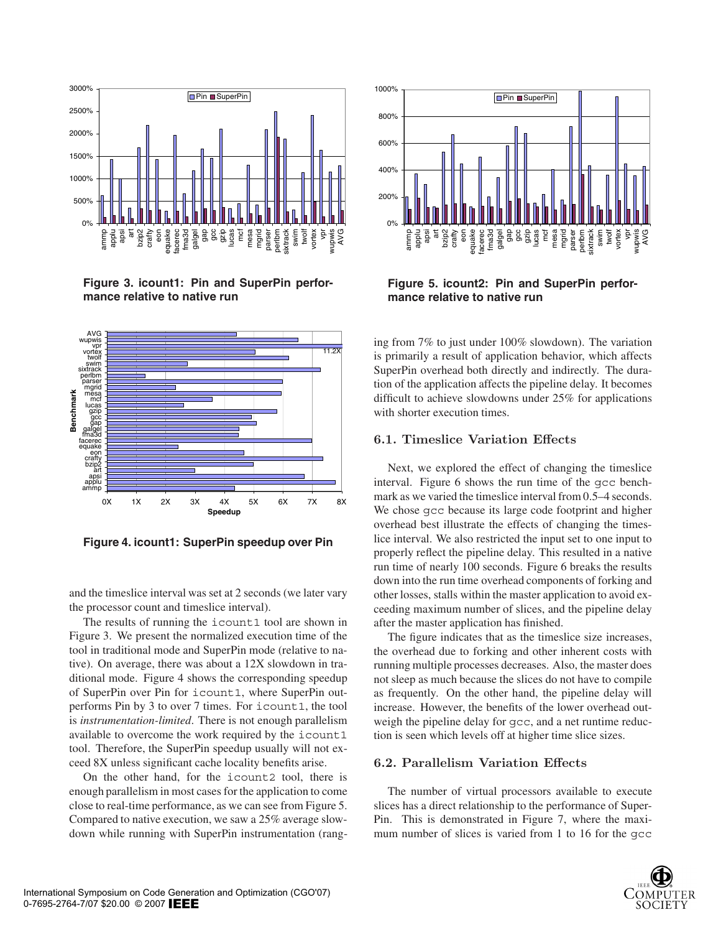

**Figure 3. icount1: Pin and SuperPin performance relative to native run**



**Figure 4. icount1: SuperPin speedup over Pin**

and the timeslice interval was set at 2 seconds (we later vary the processor count and timeslice interval).

The results of running the icount1 tool are shown in Figure 3. We present the normalized execution time of the tool in traditional mode and SuperPin mode (relative to native). On average, there was about a 12X slowdown in traditional mode. Figure 4 shows the corresponding speedup of SuperPin over Pin for icount1, where SuperPin outperforms Pin by 3 to over 7 times. For icount1, the tool is *instrumentation-limited*. There is not enough parallelism available to overcome the work required by the icount1 tool. Therefore, the SuperPin speedup usually will not exceed 8X unless significant cache locality benefits arise.

On the other hand, for the icount2 tool, there is enough parallelism in most cases for the application to come close to real-time performance, as we can see from Figure 5. Compared to native execution, we saw a 25% average slowdown while running with SuperPin instrumentation (rang-



**Figure 5. icount2: Pin and SuperPin performance relative to native run**

ing from 7% to just under 100% slowdown). The variation is primarily a result of application behavior, which affects SuperPin overhead both directly and indirectly. The duration of the application affects the pipeline delay. It becomes difficult to achieve slowdowns under 25% for applications with shorter execution times.

### **6.1. Timeslice Variation Effects**

Next, we explored the effect of changing the timeslice interval. Figure 6 shows the run time of the gcc benchmark as we varied the timeslice interval from 0.5–4 seconds. We chose gcc because its large code footprint and higher overhead best illustrate the effects of changing the timeslice interval. We also restricted the input set to one input to properly reflect the pipeline delay. This resulted in a native run time of nearly 100 seconds. Figure 6 breaks the results down into the run time overhead components of forking and other losses, stalls within the master application to avoid exceeding maximum number of slices, and the pipeline delay after the master application has finished.

The figure indicates that as the timeslice size increases, the overhead due to forking and other inherent costs with running multiple processes decreases. Also, the master does not sleep as much because the slices do not have to compile as frequently. On the other hand, the pipeline delay will increase. However, the benefits of the lower overhead outweigh the pipeline delay for gcc, and a net runtime reduction is seen which levels off at higher time slice sizes.

#### **6.2. Parallelism Variation Effects**

The number of virtual processors available to execute slices has a direct relationship to the performance of Super-Pin. This is demonstrated in Figure 7, where the maximum number of slices is varied from 1 to 16 for the gcc

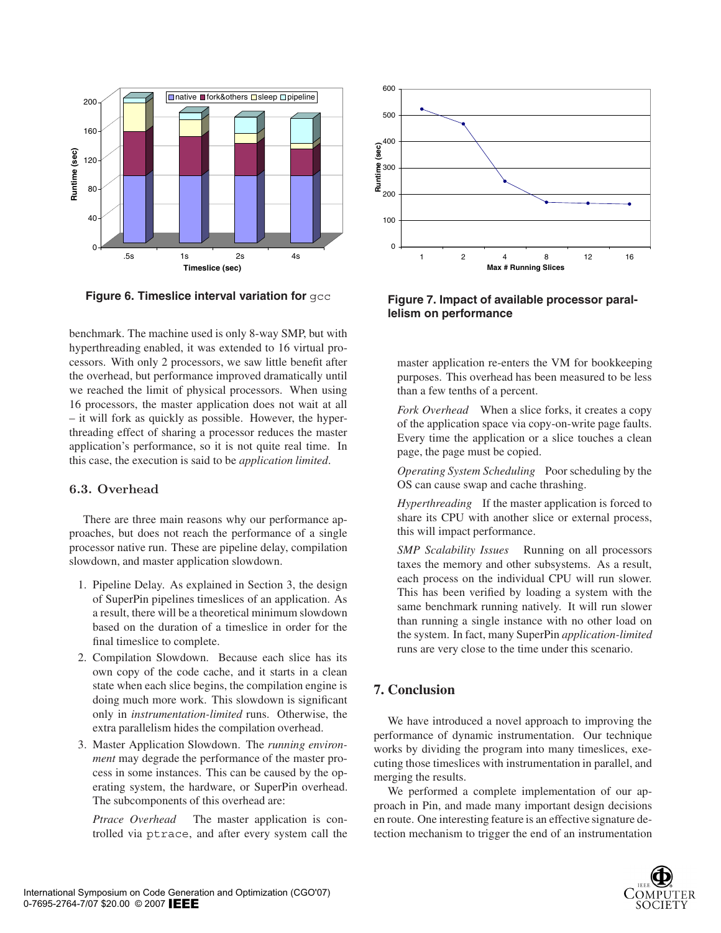

**Figure 6. Timeslice interval variation for**  $qcc$ 

benchmark. The machine used is only 8-way SMP, but with hyperthreading enabled, it was extended to 16 virtual processors. With only 2 processors, we saw little benefit after the overhead, but performance improved dramatically until we reached the limit of physical processors. When using 16 processors, the master application does not wait at all – it will fork as quickly as possible. However, the hyperthreading effect of sharing a processor reduces the master application's performance, so it is not quite real time. In this case, the execution is said to be *application limited*.

### **6.3. Overhead**

There are three main reasons why our performance approaches, but does not reach the performance of a single processor native run. These are pipeline delay, compilation slowdown, and master application slowdown.

- 1. Pipeline Delay. As explained in Section 3, the design of SuperPin pipelines timeslices of an application. As a result, there will be a theoretical minimum slowdown based on the duration of a timeslice in order for the final timeslice to complete.
- 2. Compilation Slowdown. Because each slice has its own copy of the code cache, and it starts in a clean state when each slice begins, the compilation engine is doing much more work. This slowdown is significant only in *instrumentation-limited* runs. Otherwise, the extra parallelism hides the compilation overhead.
- 3. Master Application Slowdown. The *running environment* may degrade the performance of the master process in some instances. This can be caused by the operating system, the hardware, or SuperPin overhead. The subcomponents of this overhead are:

*Ptrace Overhead* The master application is controlled via ptrace, and after every system call the



**Figure 7. Impact of available processor parallelism on performance**

master application re-enters the VM for bookkeeping purposes. This overhead has been measured to be less than a few tenths of a percent.

*Fork Overhead* When a slice forks, it creates a copy of the application space via copy-on-write page faults. Every time the application or a slice touches a clean page, the page must be copied.

*Operating System Scheduling* Poor scheduling by the OS can cause swap and cache thrashing.

*Hyperthreading* If the master application is forced to share its CPU with another slice or external process, this will impact performance.

*SMP Scalability Issues* Running on all processors taxes the memory and other subsystems. As a result, each process on the individual CPU will run slower. This has been verified by loading a system with the same benchmark running natively. It will run slower than running a single instance with no other load on the system. In fact, many SuperPin *application-limited* runs are very close to the time under this scenario.

# **7. Conclusion**

We have introduced a novel approach to improving the performance of dynamic instrumentation. Our technique works by dividing the program into many timeslices, executing those timeslices with instrumentation in parallel, and merging the results.

We performed a complete implementation of our approach in Pin, and made many important design decisions en route. One interesting feature is an effective signature detection mechanism to trigger the end of an instrumentation